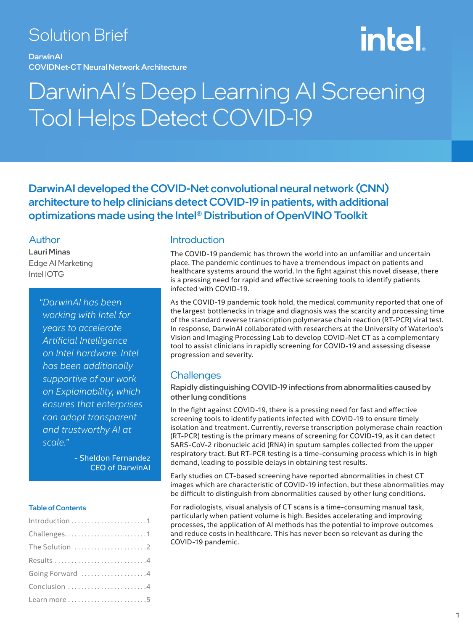# Solution Brief

**DarwinAI** COVIDNet-CT Neural Network Architecture

# <u>intel.</u>

# DarwinAI's Deep Learning AI Screening Tool Helps Detect COVID-19

DarwinAI developed the COVID-Net convolutional neural network (CNN) architecture to help clinicians detect COVID-19 in patients, with additional optimizations made using the Intel® Distribution of OpenVINO Toolkit

#### Author

Lauri Minas Edge AI Marketing Intel IOTG

> *"DarwinAI has been working with Intel for years to accelerate Artificial Intelligence on Intel hardware. Intel has been additionally supportive of our work on Explainability, which ensures that enterprises can adopt transparent and trustworthy AI at scale."*

> > - Sheldon Fernandez CEO of DarwinAI

#### Table of Contents

| Challenges1     |
|-----------------|
| The Solution 2  |
| Results 4       |
| Going Forward 4 |
| Conclusion 4    |
| Learn more 5    |

#### **Introduction**

The COVID-19 pandemic has thrown the world into an unfamiliar and uncertain place. The pandemic continues to have a tremendous impact on patients and healthcare systems around the world. In the fight against this novel disease, there is a pressing need for rapid and effective screening tools to identify patients infected with COVID-19.

As the COVID-19 pandemic took hold, the medical community reported that one of the largest bottlenecks in triage and diagnosis was the scarcity and processing time of the standard reverse transcription polymerase chain reaction (RT-PCR) viral test. In response, DarwinAI collaborated with researchers at the University of Waterloo's Vision and Imaging Processing Lab to develop COVID-Net CT as a complementary tool to assist clinicians in rapidly screening for COVID-19 and assessing disease progression and severity.

### **Challenges**

Rapidly distinguishing COVID-19 infections from abnormalities caused by other lung conditions

In the fight against COVID-19, there is a pressing need for fast and effective screening tools to identify patients infected with COVID-19 to ensure timely isolation and treatment. Currently, reverse transcription polymerase chain reaction (RT-PCR) testing is the primary means of screening for COVID-19, as it can detect SARS-CoV-2 ribonucleic acid (RNA) in sputum samples collected from the upper respiratory tract. But RT-PCR testing is a time-consuming process which is in high demand, leading to possible delays in obtaining test results.

Early studies on CT-based screening have reported abnormalities in chest CT images which are characteristic of COVID-19 infection, but these abnormalities may be difficult to distinguish from abnormalities caused by other lung conditions.

For radiologists, visual analysis of CT scans is a time-consuming manual task, particularly when patient volume is high. Besides accelerating and improving processes, the application of AI methods has the potential to improve outcomes and reduce costs in healthcare. This has never been so relevant as during the COVID-19 pandemic.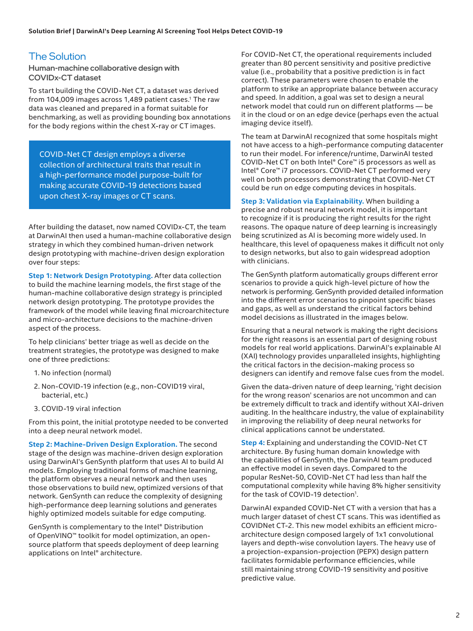# <span id="page-1-0"></span>The Solution

Human-machine collaborative design with COVIDx-CT dataset

To start building the COVID-Net CT, a dataset was derived from 104,009 images across 1,489 patient cases.<sup>1</sup> The raw data was cleaned and prepared in a format suitable for benchmarking, as well as providing bounding box annotations for the body regions within the chest X-ray or CT images.

COVID-Net CT design employs a diverse collection of architectural traits that result in a high-performance model purpose-built for making accurate COVID-19 detections based upon chest X-ray images or CT scans.

After building the dataset, now named COVIDx-CT, the team at DarwinAI then used a human-machine collaborative design strategy in which they combined human-driven network design prototyping with machine-driven design exploration over four steps:

**Step 1: Network Design Prototyping.** After data collection to build the machine learning models, the first stage of the human-machine collaborative design strategy is principled network design prototyping. The prototype provides the framework of the model while leaving final microarchitecture and micro-architecture decisions to the machine-driven aspect of the process.

To help clinicians' better triage as well as decide on the treatment strategies, the prototype was designed to make one of three predictions:

- 1. No infection (normal)
- 2. Non-COVID-19 infection (e.g., non-COVID19 viral, bacterial, etc.)
- 3. COVID-19 viral infection

From this point, the initial prototype needed to be converted into a deep neural network model.

**Step 2: Machine-Driven Design Exploration.** The second stage of the design was machine-driven design exploration using DarwinAI's GenSynth platform that uses AI to build AI models. Employing traditional forms of machine learning, the platform observes a neural network and then uses those observations to build new, optimized versions of that network. GenSynth can reduce the complexity of designing high-performance deep learning solutions and generates highly optimized models suitable for edge computing.

GenSynth is complementary to the Intel® Distribution of OpenVINO™ toolkit for model optimization, an opensource platform that speeds deployment of deep learning applications on Intel® architecture.

For COVID-Net CT, the operational requirements included greater than 80 percent sensitivity and positive predictive value (i.e., probability that a positive prediction is in fact correct). These parameters were chosen to enable the platform to strike an appropriate balance between accuracy and speed. In addition, a goal was set to design a neural network model that could run on different platforms — be it in the cloud or on an edge device (perhaps even the actual imaging device itself).

The team at DarwinAI recognized that some hospitals might not have access to a high-performance computing datacenter to run their model. For inference/runtime, DarwinAI tested COVID-Net CT on both Intel® Core™ i5 processors as well as Intel® Core™ i7 processors. COVID-Net CT performed very well on both processors demonstrating that COVID-Net CT could be run on edge computing devices in hospitals.

**Step 3: Validation via Explainability.** When building a precise and robust neural network model, it is important to recognize if it is producing the right results for the right reasons. The opaque nature of deep learning is increasingly being scrutinized as AI is becoming more widely used. In healthcare, this level of opaqueness makes it difficult not only to design networks, but also to gain widespread adoption with clinicians.

The GenSynth platform automatically groups different error scenarios to provide a quick high-level picture of how the network is performing. GenSynth provided detailed information into the different error scenarios to pinpoint specific biases and gaps, as well as understand the critical factors behind model decisions as illustrated in the images below.

Ensuring that a neural network is making the right decisions for the right reasons is an essential part of designing robust models for real world applications. DarwinAI's explainable AI (XAI) technology provides unparalleled insights, highlighting the critical factors in the decision-making process so designers can identify and remove false cues from the model.

Given the data-driven nature of deep learning, 'right decision for the wrong reason' scenarios are not uncommon and can be extremely difficult to track and identify without XAI-driven auditing. In the healthcare industry, the value of explainability in improving the reliability of deep neural networks for clinical applications cannot be understated.

**Step 4:** Explaining and understanding the COVID-Net CT architecture. By fusing human domain knowledge with the capabilities of GenSynth, the DarwinAI team produced an effective model in seven days. Compared to the popular ResNet-50, COVID-Net CT had less than half the computational complexity while having 8% higher sensitivity for the task of COVID-19 detection<sup>1</sup>.

DarwinAI expanded COVID-Net CT with a version that has a much larger dataset of chest CT scans. This was identified as COVIDNet CT-2. This new model exhibits an efficient microarchitecture design composed largely of 1x1 convolutional layers and depth-wise convolution layers. The heavy use of a projection-expansion-projection (PEPX) design pattern facilitates formidable performance efficiencies, while still maintaining strong COVID-19 sensitivity and positive predictive value.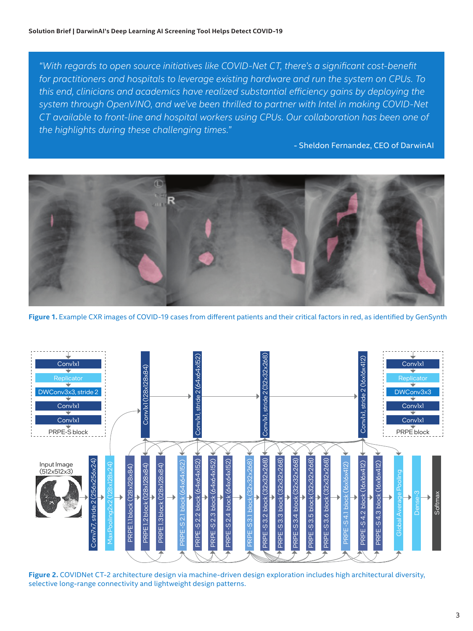*"With regards to open source initiatives like COVID-Net CT, there's a significant cost-benefit for practitioners and hospitals to leverage existing hardware and run the system on CPUs. To this end, clinicians and academics have realized substantial efficiency gains by deploying the system through OpenVINO, and we've been thrilled to partner with Intel in making COVID-Net CT available to front-line and hospital workers using CPUs. Our collaboration has been one of the highlights during these challenging times."* 

- Sheldon Fernandez, CEO of DarwinAI



**Figure 1.** Example CXR images of COVID-19 cases from different patients and their critical factors in red, as identified by GenSynth



**Figure 2.** COVIDNet CT-2 architecture design via machine-driven design exploration includes high architectural diversity, selective long-range connectivity and lightweight design patterns.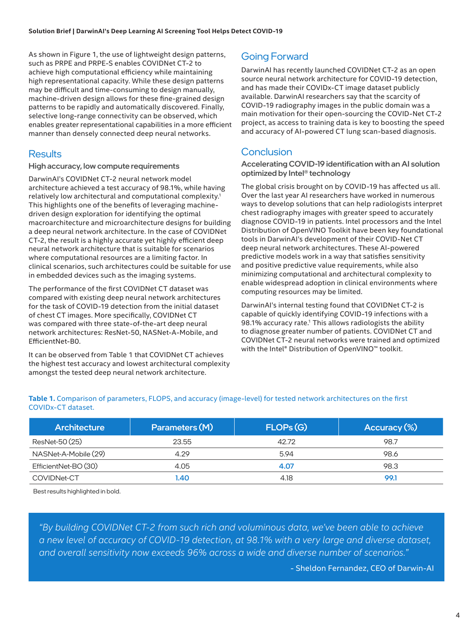<span id="page-3-0"></span>As shown in Figure 1, the use of lightweight design patterns, such as PRPE and PRPE-S enables COVIDNet CT-2 to achieve high computational efficiency while maintaining high representational capacity. While these design patterns may be difficult and time-consuming to design manually, machine-driven design allows for these fine-grained design patterns to be rapidly and automatically discovered. Finally, selective long-range connectivity can be observed, which enables greater representational capabilities in a more efficient manner than densely connected deep neural networks.

# **Results**

High accuracy, low compute requirements

DarwinAI's COVIDNet CT-2 neural network model architecture achieved a test accuracy of 98.1%, while having relatively low architectural and computational complexity.<sup>1</sup> This highlights one of the benefits of leveraging machinedriven design exploration for identifying the optimal macroarchitecture and microarchitecture designs for building a deep neural network architecture. In the case of COVIDNet CT-2, the result is a highly accurate yet highly efficient deep neural network architecture that is suitable for scenarios where computational resources are a limiting factor. In clinical scenarios, such architectures could be suitable for use in embedded devices such as the imaging systems.

The performance of the first COVIDNet CT dataset was compared with existing deep neural network architectures for the task of COVID-19 detection from the initial dataset of chest CT images. More specifically, COVIDNet CT was compared with three state-of-the-art deep neural network architectures: ResNet-50, NASNet-A-Mobile, and EfficientNet-B0.

It can be observed from Table 1 that COVIDNet CT achieves the highest test accuracy and lowest architectural complexity amongst the tested deep neural network architecture.

# Going Forward

DarwinAI has recently launched COVIDNet CT-2 as an open source neural network architecture for COVID-19 detection, and has made their COVIDx-CT image dataset publicly available. DarwinAI researchers say that the scarcity of COVID-19 radiography images in the public domain was a main motivation for their open-sourcing the COVID-Net CT-2 project, as access to training data is key to boosting the speed and accuracy of AI-powered CT lung scan-based diagnosis.

# **Conclusion**

Accelerating COVID-19 identification with an AI solution optimized by Intel® technology

The global crisis brought on by COVID-19 has affected us all. Over the last year AI researchers have worked in numerous ways to develop solutions that can help radiologists interpret chest radiography images with greater speed to accurately diagnose COVID-19 in patients. Intel processors and the Intel Distribution of OpenVINO Toolkit have been key foundational tools in DarwinAI's development of their COVID-Net CT deep neural network architectures. These AI-powered predictive models work in a way that satisfies sensitivity and positive predictive value requirements, while also minimizing computational and architectural complexity to enable widespread adoption in clinical environments where computing resources may be limited.

DarwinAI's internal testing found that COVIDNet CT-2 is capable of quickly identifying COVID-19 infections with a 98.1% accuracy rate.<sup>1</sup> This allows radiologists the ability to diagnose greater number of patients. COVIDNet CT and COVIDNet CT-2 neural networks were trained and optimized with the Intel® Distribution of OpenVINO™ toolkit.

| <b>Architecture</b>  | Parameters (M) | FLOPs (G) | Accuracy (%) |
|----------------------|----------------|-----------|--------------|
| ResNet-50 (25)       | 23.55          | 42.72     | 98.7         |
| NASNet-A-Mobile (29) | 4.29           | 5.94      | 98.6         |
| EfficientNet-BO (30) | 4.05           | 4.07      | 98.3         |
| COVIDNet-CT          | .40            | 4.18      | 99.1         |

**Table 1.** Comparison of parameters, FLOPS, and accuracy (image-level) for tested network architectures on the first COVIDx-CT dataset.

Best results highlighted in bold.

*"By building COVIDNet CT-2 from such rich and voluminous data, we've been able to achieve a new level of accuracy of COVID-19 detection, at 98.1% with a very large and diverse dataset, and overall sensitivity now exceeds 96% across a wide and diverse number of scenarios."* 

- Sheldon Fernandez, CEO of Darwin-AI